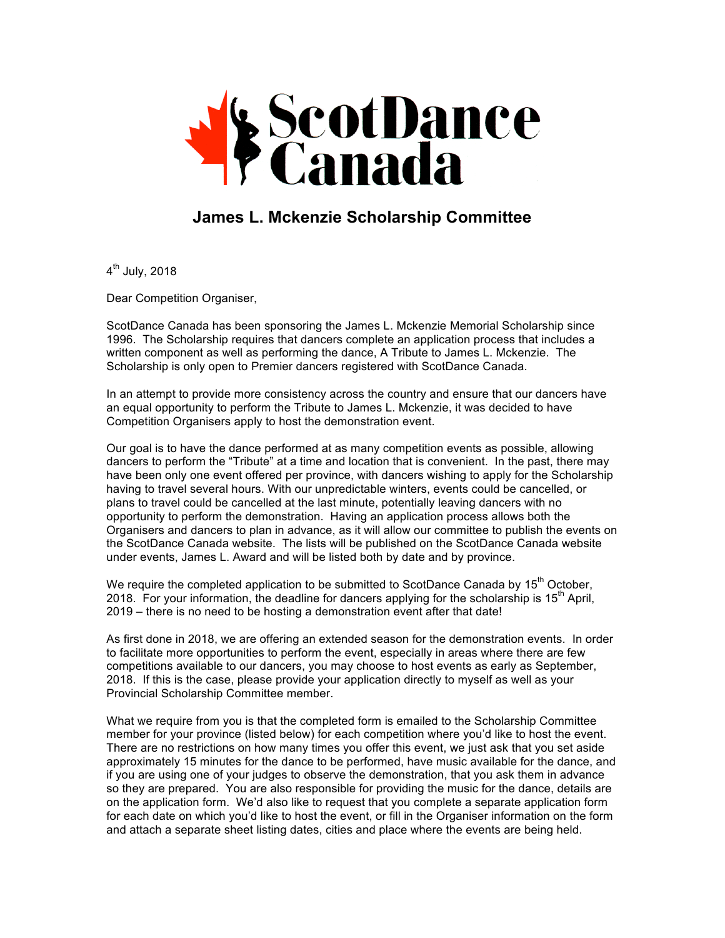

## **James L. Mckenzie Scholarship Committee**

 $4<sup>th</sup>$  July, 2018

Dear Competition Organiser,

ScotDance Canada has been sponsoring the James L. Mckenzie Memorial Scholarship since 1996. The Scholarship requires that dancers complete an application process that includes a written component as well as performing the dance, A Tribute to James L. Mckenzie. The Scholarship is only open to Premier dancers registered with ScotDance Canada.

In an attempt to provide more consistency across the country and ensure that our dancers have an equal opportunity to perform the Tribute to James L. Mckenzie, it was decided to have Competition Organisers apply to host the demonstration event.

Our goal is to have the dance performed at as many competition events as possible, allowing dancers to perform the "Tribute" at a time and location that is convenient. In the past, there may have been only one event offered per province, with dancers wishing to apply for the Scholarship having to travel several hours. With our unpredictable winters, events could be cancelled, or plans to travel could be cancelled at the last minute, potentially leaving dancers with no opportunity to perform the demonstration. Having an application process allows both the Organisers and dancers to plan in advance, as it will allow our committee to publish the events on the ScotDance Canada website. The lists will be published on the ScotDance Canada website under events, James L. Award and will be listed both by date and by province.

We require the completed application to be submitted to ScotDance Canada by 15<sup>th</sup> October, 2018. For your information, the deadline for dancers applying for the scholarship is  $15<sup>th</sup>$  April, 2019 – there is no need to be hosting a demonstration event after that date!

As first done in 2018, we are offering an extended season for the demonstration events. In order to facilitate more opportunities to perform the event, especially in areas where there are few competitions available to our dancers, you may choose to host events as early as September, 2018. If this is the case, please provide your application directly to myself as well as your Provincial Scholarship Committee member.

What we require from you is that the completed form is emailed to the Scholarship Committee member for your province (listed below) for each competition where you'd like to host the event. There are no restrictions on how many times you offer this event, we just ask that you set aside approximately 15 minutes for the dance to be performed, have music available for the dance, and if you are using one of your judges to observe the demonstration, that you ask them in advance so they are prepared. You are also responsible for providing the music for the dance, details are on the application form. We'd also like to request that you complete a separate application form for each date on which you'd like to host the event, or fill in the Organiser information on the form and attach a separate sheet listing dates, cities and place where the events are being held.